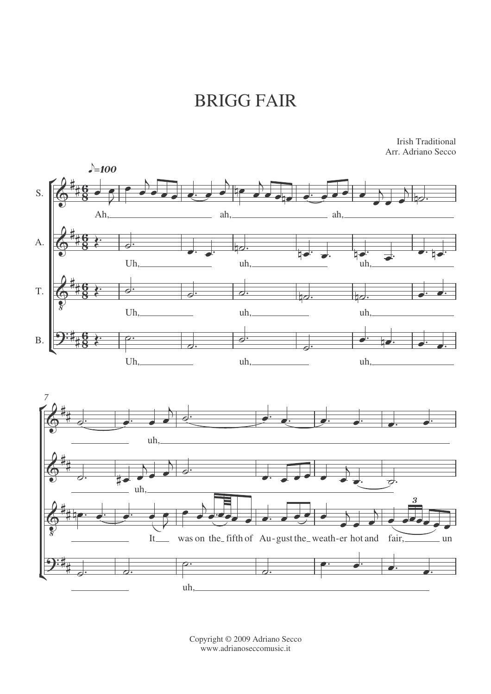## BRIGG FAIR



Irish Traditional Arr. Adriano Secco

Copyright © 2009 Adriano Secco www.adrianoseccomusic.it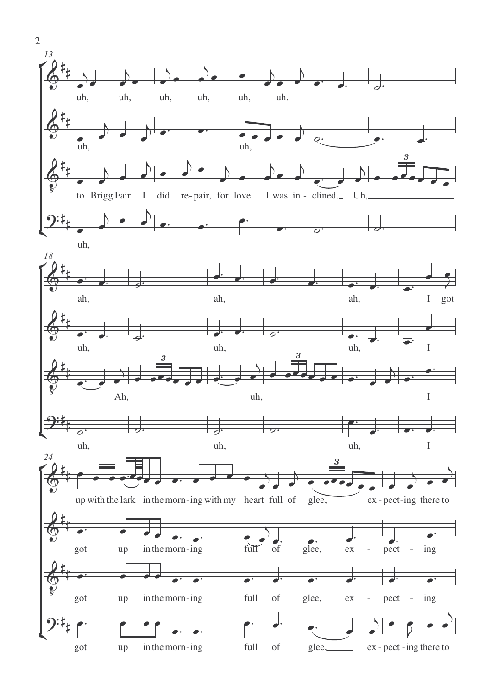